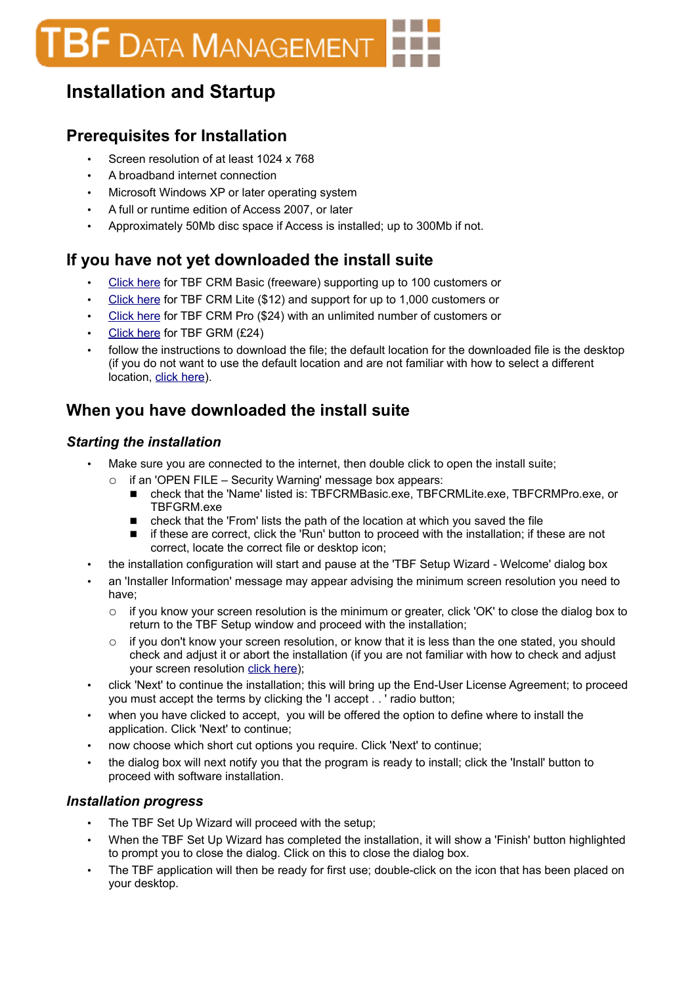# **BF** DATA MANAGEMENT

# **Installation and Startup**

## **Prerequisites for Installation**

- Screen resolution of at least 1024 x 768
- A broadband internet connection
- Microsoft Windows XP or later operating system
- A full or runtime edition of Access 2007, or later
- Approximately 50Mb disc space if Access is installed; up to 300Mb if not.

### **If you have not yet downloaded the install suite**

- • [Click here](http://www.TBF.co.uk/Download/TBFCRMBasic.exe) for TBF CRM Basic (freeware) supporting up to 100 customers or
- • [Click here](http://www.TBF.co.uk/Download/TBFCRMLite.exe) for TBF CRM Lite (\$12) and support for up to 1,000 customers or
- • [Click here](http://www.TBF.co.uk/Download/TBFCRMPro.exe) for TBF CRM Pro (\$24) with an unlimited number of customers or
- • [Click here](http://www.TBF.co.uk/Download/TBFGRM.exe) for TBF GRM (£24)
- follow the instructions to download the file; the default location for the downloaded file is the desktop (if you do not want to use the default location and are not familiar with how to select a different location, [click here\)](#page-2-1).

### **When you have downloaded the install suite**

#### *Starting the installation*

- Make sure you are connected to the internet, then double click to open the install suite;
	- if an 'OPEN FILE Security Warning' message box appears:
		- check that the 'Name' listed is: TBFCRMBasic.exe, TBFCRMLite.exe, TBFCRMPro.exe, or TBFGRM.exe
		- check that the 'From' lists the path of the location at which you saved the file
		- if these are correct, click the 'Run' button to proceed with the installation; if these are not correct, locate the correct file or desktop icon;
- the installation configuration will start and pause at the 'TBF Setup Wizard Welcome' dialog box
- an 'Installer Information' message may appear advising the minimum screen resolution you need to have;
	- if you know your screen resolution is the minimum or greater, click 'OK' to close the dialog box to return to the TBF Setup window and proceed with the installation;
	- if you don't know your screen resolution, or know that it is less than the one stated, you should check and adjust it or abort the installation (if you are not familiar with how to check and adjust your screen resolution [click here\)](#page-2-0);
- click 'Next' to continue the installation; this will bring up the End-User License Agreement; to proceed you must accept the terms by clicking the 'I accept . . ' radio button;
- when you have clicked to accept, you will be offered the option to define where to install the application. Click 'Next' to continue;
- now choose which short cut options you require. Click 'Next' to continue;
- the dialog box will next notify you that the program is ready to install; click the 'Install' button to proceed with software installation.

#### *Installation progress*

- The TBF Set Up Wizard will proceed with the setup;
- When the TBF Set Up Wizard has completed the installation, it will show a 'Finish' button highlighted to prompt you to close the dialog. Click on this to close the dialog box.
- The TBF application will then be ready for first use; double-click on the icon that has been placed on your desktop.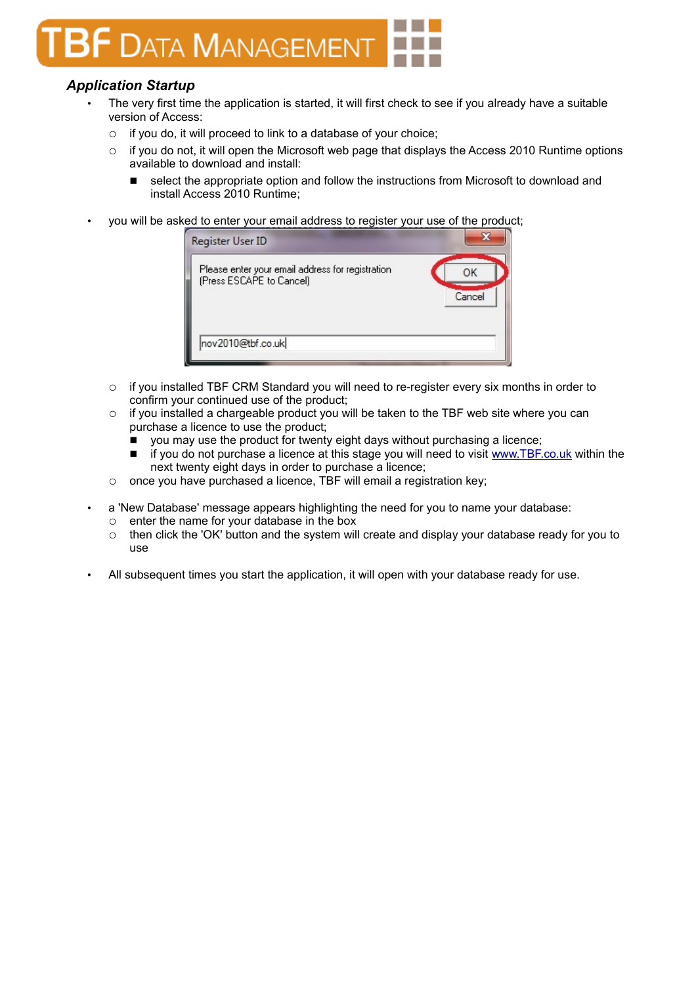# **F DATA MANAGEMENT**

### *Application Startup*

- The very first time the application is started, it will first check to see if you already have a suitable version of Access:
	- if you do, it will proceed to link to a database of your choice;
	- $\circ$  if you do not, it will open the Microsoft web page that displays the Access 2010 Runtime options available to download and install:
		- select the appropriate option and follow the instructions from Microsoft to download and install Access 2010 Runtime;
- you will be asked to enter your email address to register your use of the product;

| Register User ID                                                             |              |
|------------------------------------------------------------------------------|--------------|
| Please enter your email address for registration<br>(Press ESCAPE to Cancel) | OK<br>Cancel |
| nov2010@tbf.co.uk                                                            |              |

- if you installed TBF CRM Standard you will need to re-register every six months in order to confirm your continued use of the product;
- $\circ$  if you installed a chargeable product you will be taken to the TBF web site where you can purchase a licence to use the product;
	- $\blacksquare$  you may use the product for twenty eight days without purchasing a licence;
	- if you do not purchase a licence at this stage you will need to visit [www.TBF.co.uk](http://www.TBF.co.uk/) within the next twenty eight days in order to purchase a licence;
- once you have purchased a licence, TBF will email a registration key;
- a 'New Database' message appears highlighting the need for you to name your database:
	- enter the name for your database in the box
	- then click the 'OK' button and the system will create and display your database ready for you to use
- All subsequent times you start the application, it will open with your database ready for use.